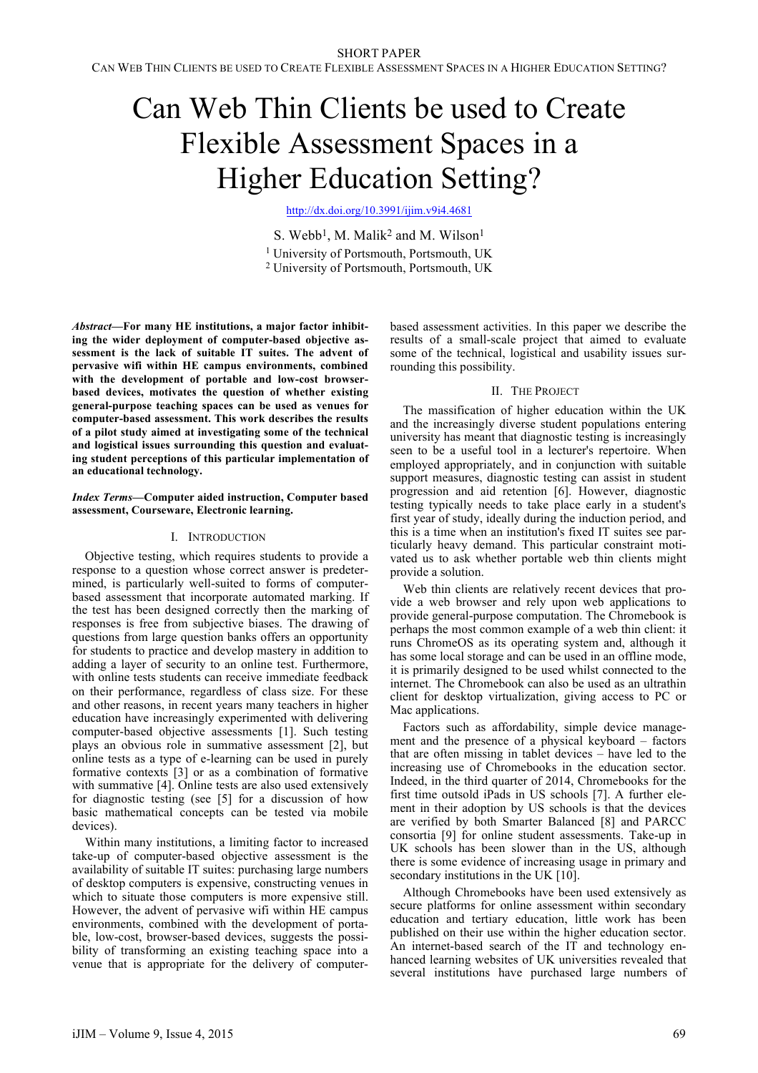# Can Web Thin Clients be used to Create Flexible Assessment Spaces in a Higher Education Setting?

http://dx.doi.org/10.3991/ijim.v9i4.4681

S. Webb<sup>1</sup>, M. Malik<sup>2</sup> and M. Wilson<sup>1</sup> <sup>1</sup> University of Portsmouth, Portsmouth, UK <sup>2</sup> University of Portsmouth, Portsmouth, UK

*Abstract***—For many HE institutions, a major factor inhibiting the wider deployment of computer-based objective assessment is the lack of suitable IT suites. The advent of pervasive wifi within HE campus environments, combined with the development of portable and low-cost browserbased devices, motivates the question of whether existing general-purpose teaching spaces can be used as venues for computer-based assessment. This work describes the results of a pilot study aimed at investigating some of the technical and logistical issues surrounding this question and evaluating student perceptions of this particular implementation of an educational technology.**

#### *Index Terms***—Computer aided instruction, Computer based assessment, Courseware, Electronic learning.**

## I. INTRODUCTION

Objective testing, which requires students to provide a response to a question whose correct answer is predetermined, is particularly well-suited to forms of computerbased assessment that incorporate automated marking. If the test has been designed correctly then the marking of responses is free from subjective biases. The drawing of questions from large question banks offers an opportunity for students to practice and develop mastery in addition to adding a layer of security to an online test. Furthermore, with online tests students can receive immediate feedback on their performance, regardless of class size. For these and other reasons, in recent years many teachers in higher education have increasingly experimented with delivering computer-based objective assessments [1]. Such testing plays an obvious role in summative assessment [2], but online tests as a type of e-learning can be used in purely formative contexts [3] or as a combination of formative with summative [4]. Online tests are also used extensively for diagnostic testing (see [5] for a discussion of how basic mathematical concepts can be tested via mobile devices).

Within many institutions, a limiting factor to increased take-up of computer-based objective assessment is the availability of suitable IT suites: purchasing large numbers of desktop computers is expensive, constructing venues in which to situate those computers is more expensive still. However, the advent of pervasive wifi within HE campus environments, combined with the development of portable, low-cost, browser-based devices, suggests the possibility of transforming an existing teaching space into a venue that is appropriate for the delivery of computerbased assessment activities. In this paper we describe the results of a small-scale project that aimed to evaluate some of the technical, logistical and usability issues surrounding this possibility.

## II. THE PROJECT

The massification of higher education within the UK and the increasingly diverse student populations entering university has meant that diagnostic testing is increasingly seen to be a useful tool in a lecturer's repertoire. When employed appropriately, and in conjunction with suitable support measures, diagnostic testing can assist in student progression and aid retention [6]. However, diagnostic testing typically needs to take place early in a student's first year of study, ideally during the induction period, and this is a time when an institution's fixed IT suites see particularly heavy demand. This particular constraint motivated us to ask whether portable web thin clients might provide a solution.

Web thin clients are relatively recent devices that provide a web browser and rely upon web applications to provide general-purpose computation. The Chromebook is perhaps the most common example of a web thin client: it runs ChromeOS as its operating system and, although it has some local storage and can be used in an offline mode, it is primarily designed to be used whilst connected to the internet. The Chromebook can also be used as an ultrathin client for desktop virtualization, giving access to PC or Mac applications.

Factors such as affordability, simple device management and the presence of a physical keyboard – factors that are often missing in tablet devices – have led to the increasing use of Chromebooks in the education sector. Indeed, in the third quarter of 2014, Chromebooks for the first time outsold iPads in US schools [7]. A further element in their adoption by US schools is that the devices are verified by both Smarter Balanced [8] and PARCC consortia [9] for online student assessments. Take-up in UK schools has been slower than in the US, although there is some evidence of increasing usage in primary and secondary institutions in the UK [10].

Although Chromebooks have been used extensively as secure platforms for online assessment within secondary education and tertiary education, little work has been published on their use within the higher education sector. An internet-based search of the IT and technology enhanced learning websites of UK universities revealed that several institutions have purchased large numbers of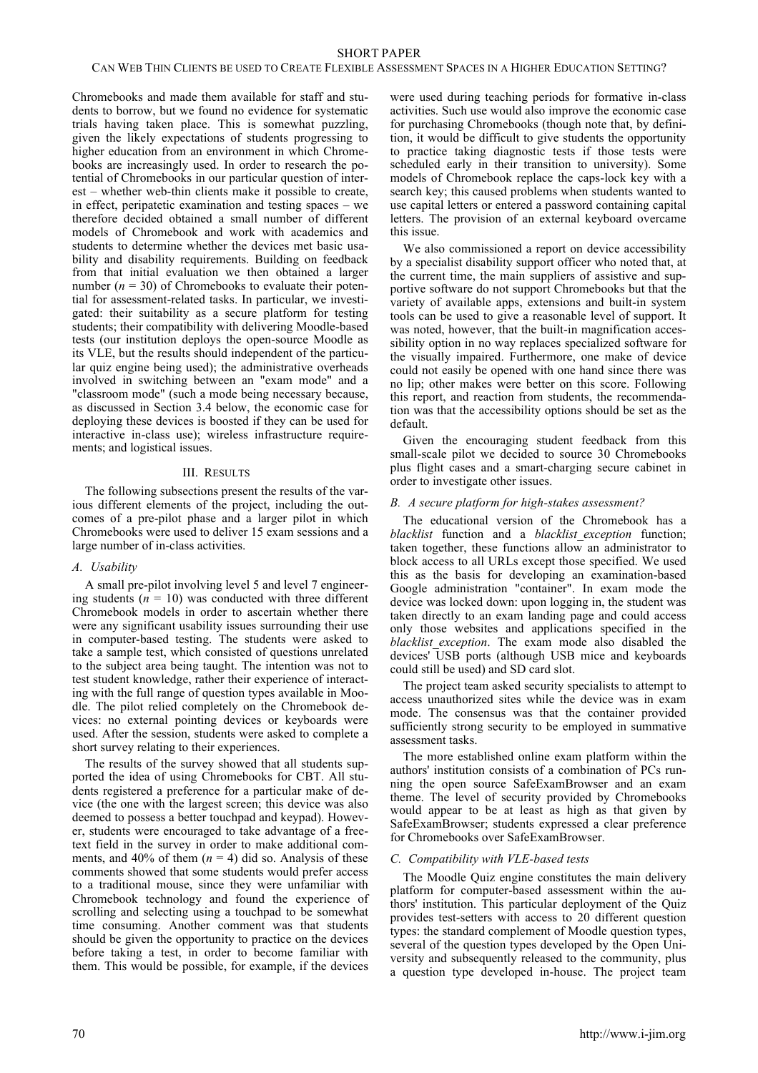## SHORT PAPER

## CAN WEB THIN CLIENTS BE USED TO CREATE FLEXIBLE ASSESSMENT SPACES IN A HIGHER EDUCATION SETTING?

Chromebooks and made them available for staff and students to borrow, but we found no evidence for systematic trials having taken place. This is somewhat puzzling, given the likely expectations of students progressing to higher education from an environment in which Chromebooks are increasingly used. In order to research the potential of Chromebooks in our particular question of interest – whether web-thin clients make it possible to create, in effect, peripatetic examination and testing spaces – we therefore decided obtained a small number of different models of Chromebook and work with academics and students to determine whether the devices met basic usability and disability requirements. Building on feedback from that initial evaluation we then obtained a larger number  $(n = 30)$  of Chromebooks to evaluate their potential for assessment-related tasks. In particular, we investigated: their suitability as a secure platform for testing students; their compatibility with delivering Moodle-based tests (our institution deploys the open-source Moodle as its VLE, but the results should independent of the particular quiz engine being used); the administrative overheads involved in switching between an "exam mode" and a "classroom mode" (such a mode being necessary because, as discussed in Section 3.4 below, the economic case for deploying these devices is boosted if they can be used for interactive in-class use); wireless infrastructure requirements; and logistical issues.

#### III. RESULTS

The following subsections present the results of the various different elements of the project, including the outcomes of a pre-pilot phase and a larger pilot in which Chromebooks were used to deliver 15 exam sessions and a large number of in-class activities.

#### *A. Usability*

A small pre-pilot involving level 5 and level 7 engineering students  $(n = 10)$  was conducted with three different Chromebook models in order to ascertain whether there were any significant usability issues surrounding their use in computer-based testing. The students were asked to take a sample test, which consisted of questions unrelated to the subject area being taught. The intention was not to test student knowledge, rather their experience of interacting with the full range of question types available in Moodle. The pilot relied completely on the Chromebook devices: no external pointing devices or keyboards were used. After the session, students were asked to complete a short survey relating to their experiences.

The results of the survey showed that all students supported the idea of using Chromebooks for CBT. All students registered a preference for a particular make of device (the one with the largest screen; this device was also deemed to possess a better touchpad and keypad). However, students were encouraged to take advantage of a freetext field in the survey in order to make additional comments, and 40% of them  $(n = 4)$  did so. Analysis of these comments showed that some students would prefer access to a traditional mouse, since they were unfamiliar with Chromebook technology and found the experience of scrolling and selecting using a touchpad to be somewhat time consuming. Another comment was that students should be given the opportunity to practice on the devices before taking a test, in order to become familiar with them. This would be possible, for example, if the devices

were used during teaching periods for formative in-class activities. Such use would also improve the economic case for purchasing Chromebooks (though note that, by definition, it would be difficult to give students the opportunity to practice taking diagnostic tests if those tests were scheduled early in their transition to university). Some models of Chromebook replace the caps-lock key with a search key; this caused problems when students wanted to use capital letters or entered a password containing capital letters. The provision of an external keyboard overcame this issue.

We also commissioned a report on device accessibility by a specialist disability support officer who noted that, at the current time, the main suppliers of assistive and supportive software do not support Chromebooks but that the variety of available apps, extensions and built-in system tools can be used to give a reasonable level of support. It was noted, however, that the built-in magnification accessibility option in no way replaces specialized software for the visually impaired. Furthermore, one make of device could not easily be opened with one hand since there was no lip; other makes were better on this score. Following this report, and reaction from students, the recommendation was that the accessibility options should be set as the default.

Given the encouraging student feedback from this small-scale pilot we decided to source 30 Chromebooks plus flight cases and a smart-charging secure cabinet in order to investigate other issues.

## *B. A secure platform for high-stakes assessment?*

The educational version of the Chromebook has a *blacklist* function and a *blacklist\_exception* function; taken together, these functions allow an administrator to block access to all URLs except those specified. We used this as the basis for developing an examination-based Google administration "container". In exam mode the device was locked down: upon logging in, the student was taken directly to an exam landing page and could access only those websites and applications specified in the *blacklist\_exception*. The exam mode also disabled the devices' USB ports (although USB mice and keyboards could still be used) and SD card slot.

The project team asked security specialists to attempt to access unauthorized sites while the device was in exam mode. The consensus was that the container provided sufficiently strong security to be employed in summative assessment tasks.

The more established online exam platform within the authors' institution consists of a combination of PCs running the open source SafeExamBrowser and an exam theme. The level of security provided by Chromebooks would appear to be at least as high as that given by SafeExamBrowser; students expressed a clear preference for Chromebooks over SafeExamBrowser.

## *C. Compatibility with VLE-based tests*

The Moodle Quiz engine constitutes the main delivery platform for computer-based assessment within the authors' institution. This particular deployment of the Quiz provides test-setters with access to 20 different question types: the standard complement of Moodle question types, several of the question types developed by the Open University and subsequently released to the community, plus a question type developed in-house. The project team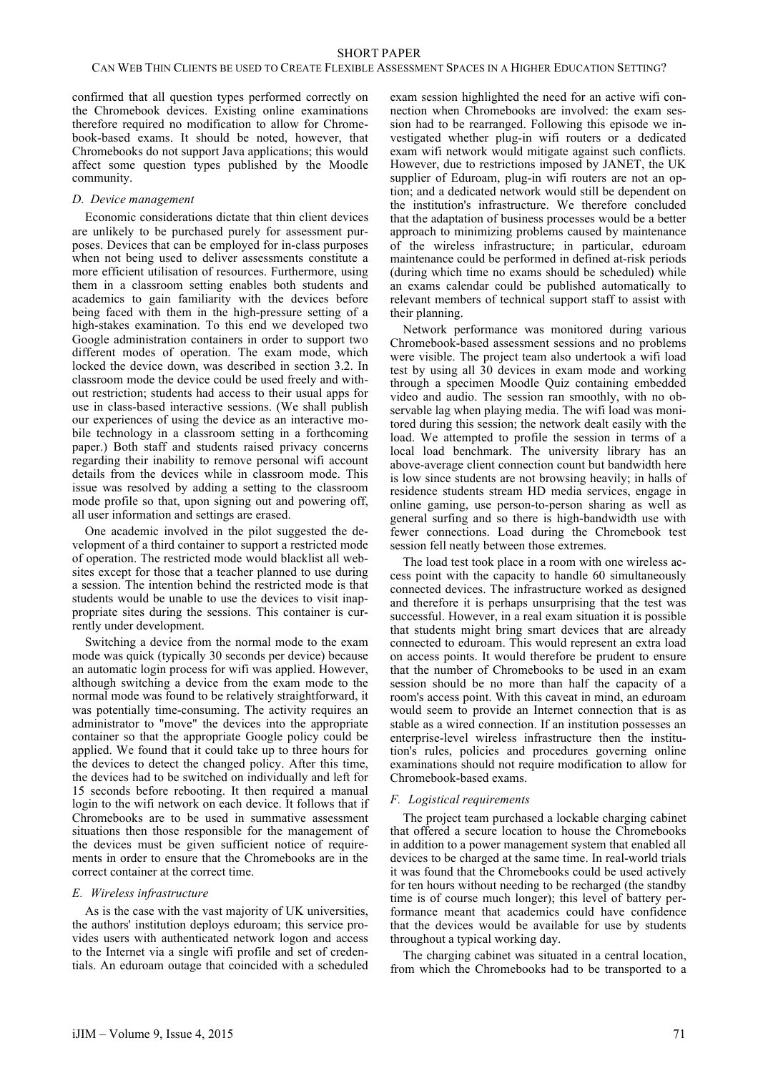confirmed that all question types performed correctly on the Chromebook devices. Existing online examinations therefore required no modification to allow for Chromebook-based exams. It should be noted, however, that Chromebooks do not support Java applications; this would affect some question types published by the Moodle community.

## *D. Device management*

Economic considerations dictate that thin client devices are unlikely to be purchased purely for assessment purposes. Devices that can be employed for in-class purposes when not being used to deliver assessments constitute a more efficient utilisation of resources. Furthermore, using them in a classroom setting enables both students and academics to gain familiarity with the devices before being faced with them in the high-pressure setting of a high-stakes examination. To this end we developed two Google administration containers in order to support two different modes of operation. The exam mode, which locked the device down, was described in section 3.2. In classroom mode the device could be used freely and without restriction; students had access to their usual apps for use in class-based interactive sessions. (We shall publish our experiences of using the device as an interactive mobile technology in a classroom setting in a forthcoming paper.) Both staff and students raised privacy concerns regarding their inability to remove personal wifi account details from the devices while in classroom mode. This issue was resolved by adding a setting to the classroom mode profile so that, upon signing out and powering off, all user information and settings are erased.

One academic involved in the pilot suggested the development of a third container to support a restricted mode of operation. The restricted mode would blacklist all websites except for those that a teacher planned to use during a session. The intention behind the restricted mode is that students would be unable to use the devices to visit inappropriate sites during the sessions. This container is currently under development.

Switching a device from the normal mode to the exam mode was quick (typically 30 seconds per device) because an automatic login process for wifi was applied. However, although switching a device from the exam mode to the normal mode was found to be relatively straightforward, it was potentially time-consuming. The activity requires an administrator to "move" the devices into the appropriate container so that the appropriate Google policy could be applied. We found that it could take up to three hours for the devices to detect the changed policy. After this time, the devices had to be switched on individually and left for 15 seconds before rebooting. It then required a manual login to the wifi network on each device. It follows that if Chromebooks are to be used in summative assessment situations then those responsible for the management of the devices must be given sufficient notice of requirements in order to ensure that the Chromebooks are in the correct container at the correct time.

#### *E. Wireless infrastructure*

As is the case with the vast majority of UK universities, the authors' institution deploys eduroam; this service provides users with authenticated network logon and access to the Internet via a single wifi profile and set of credentials. An eduroam outage that coincided with a scheduled exam session highlighted the need for an active wifi connection when Chromebooks are involved: the exam session had to be rearranged. Following this episode we investigated whether plug-in wifi routers or a dedicated exam wifi network would mitigate against such conflicts. However, due to restrictions imposed by JANET, the UK supplier of Eduroam, plug-in wifi routers are not an option; and a dedicated network would still be dependent on the institution's infrastructure. We therefore concluded that the adaptation of business processes would be a better approach to minimizing problems caused by maintenance of the wireless infrastructure; in particular, eduroam maintenance could be performed in defined at-risk periods (during which time no exams should be scheduled) while an exams calendar could be published automatically to relevant members of technical support staff to assist with their planning.

Network performance was monitored during various Chromebook-based assessment sessions and no problems were visible. The project team also undertook a wifi load test by using all 30 devices in exam mode and working through a specimen Moodle Quiz containing embedded video and audio. The session ran smoothly, with no observable lag when playing media. The wifi load was monitored during this session; the network dealt easily with the load. We attempted to profile the session in terms of a local load benchmark. The university library has an above-average client connection count but bandwidth here is low since students are not browsing heavily; in halls of residence students stream HD media services, engage in online gaming, use person-to-person sharing as well as general surfing and so there is high-bandwidth use with fewer connections. Load during the Chromebook test session fell neatly between those extremes.

The load test took place in a room with one wireless access point with the capacity to handle 60 simultaneously connected devices. The infrastructure worked as designed and therefore it is perhaps unsurprising that the test was successful. However, in a real exam situation it is possible that students might bring smart devices that are already connected to eduroam. This would represent an extra load on access points. It would therefore be prudent to ensure that the number of Chromebooks to be used in an exam session should be no more than half the capacity of a room's access point. With this caveat in mind, an eduroam would seem to provide an Internet connection that is as stable as a wired connection. If an institution possesses an enterprise-level wireless infrastructure then the institution's rules, policies and procedures governing online examinations should not require modification to allow for Chromebook-based exams.

### *F. Logistical requirements*

The project team purchased a lockable charging cabinet that offered a secure location to house the Chromebooks in addition to a power management system that enabled all devices to be charged at the same time. In real-world trials it was found that the Chromebooks could be used actively for ten hours without needing to be recharged (the standby time is of course much longer); this level of battery performance meant that academics could have confidence that the devices would be available for use by students throughout a typical working day.

The charging cabinet was situated in a central location, from which the Chromebooks had to be transported to a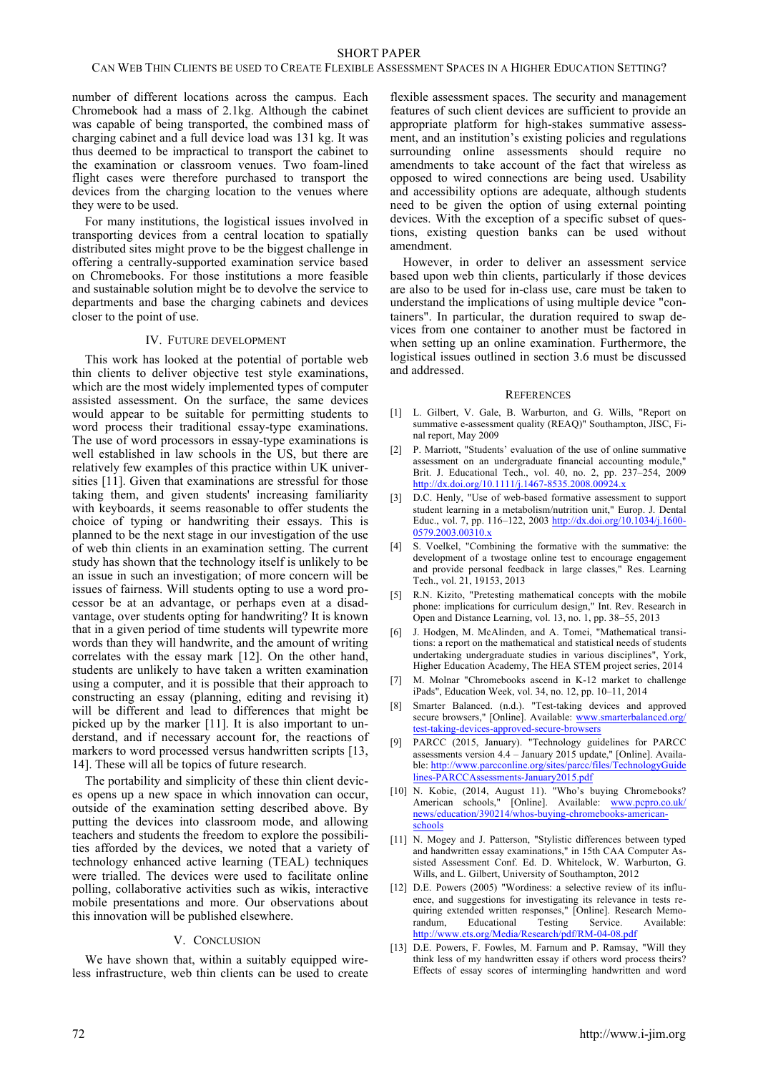number of different locations across the campus. Each Chromebook had a mass of 2.1kg. Although the cabinet was capable of being transported, the combined mass of charging cabinet and a full device load was 131 kg. It was thus deemed to be impractical to transport the cabinet to the examination or classroom venues. Two foam-lined flight cases were therefore purchased to transport the devices from the charging location to the venues where they were to be used.

For many institutions, the logistical issues involved in transporting devices from a central location to spatially distributed sites might prove to be the biggest challenge in offering a centrally-supported examination service based on Chromebooks. For those institutions a more feasible and sustainable solution might be to devolve the service to departments and base the charging cabinets and devices closer to the point of use.

## IV. FUTURE DEVELOPMENT

This work has looked at the potential of portable web thin clients to deliver objective test style examinations, which are the most widely implemented types of computer assisted assessment. On the surface, the same devices would appear to be suitable for permitting students to word process their traditional essay-type examinations. The use of word processors in essay-type examinations is well established in law schools in the US, but there are relatively few examples of this practice within UK universities [11]. Given that examinations are stressful for those taking them, and given students' increasing familiarity with keyboards, it seems reasonable to offer students the choice of typing or handwriting their essays. This is planned to be the next stage in our investigation of the use of web thin clients in an examination setting. The current study has shown that the technology itself is unlikely to be an issue in such an investigation; of more concern will be issues of fairness. Will students opting to use a word processor be at an advantage, or perhaps even at a disadvantage, over students opting for handwriting? It is known that in a given period of time students will typewrite more words than they will handwrite, and the amount of writing correlates with the essay mark [12]. On the other hand, students are unlikely to have taken a written examination using a computer, and it is possible that their approach to constructing an essay (planning, editing and revising it) will be different and lead to differences that might be picked up by the marker [11]. It is also important to understand, and if necessary account for, the reactions of markers to word processed versus handwritten scripts [13, 14]. These will all be topics of future research.

The portability and simplicity of these thin client devices opens up a new space in which innovation can occur, outside of the examination setting described above. By putting the devices into classroom mode, and allowing teachers and students the freedom to explore the possibilities afforded by the devices, we noted that a variety of technology enhanced active learning (TEAL) techniques were trialled. The devices were used to facilitate online polling, collaborative activities such as wikis, interactive mobile presentations and more. Our observations about this innovation will be published elsewhere.

## V. CONCLUSION

We have shown that, within a suitably equipped wireless infrastructure, web thin clients can be used to create flexible assessment spaces. The security and management features of such client devices are sufficient to provide an appropriate platform for high-stakes summative assessment, and an institution's existing policies and regulations surrounding online assessments should require no amendments to take account of the fact that wireless as opposed to wired connections are being used. Usability and accessibility options are adequate, although students need to be given the option of using external pointing devices. With the exception of a specific subset of questions, existing question banks can be used without amendment.

However, in order to deliver an assessment service based upon web thin clients, particularly if those devices are also to be used for in-class use, care must be taken to understand the implications of using multiple device "containers". In particular, the duration required to swap devices from one container to another must be factored in when setting up an online examination. Furthermore, the logistical issues outlined in section 3.6 must be discussed and addressed.

#### **REFERENCES**

- [1] L. Gilbert, V. Gale, B. Warburton, and G. Wills, "Report on summative e-assessment quality (REAQ)" Southampton, JISC, Final report, May 2009
- [2] P. Marriott, "Students' evaluation of the use of online summative assessment on an undergraduate financial accounting module," Brit. J. Educational Tech., vol. 40, no. 2, pp. 237–254, 2009 http://dx.doi.org/10.1111/j.1467-8535.2008.00924.x
- [3] D.C. Henly, "Use of web-based formative assessment to support student learning in a metabolism/nutrition unit," Europ. J. Dental Educ., vol. 7, pp. 116–122, 2003 http://dx.doi.org/10.1034/j.1600- 0579.2003.00310.x
- [4] S. Voelkel, "Combining the formative with the summative: the development of a twostage online test to encourage engagement and provide personal feedback in large classes," Res. Learning Tech., vol. 21, 19153, 2013
- [5] R.N. Kizito, "Pretesting mathematical concepts with the mobile phone: implications for curriculum design," Int. Rev. Research in Open and Distance Learning, vol. 13, no. 1, pp. 38–55, 2013
- [6] J. Hodgen, M. McAlinden, and A. Tomei, "Mathematical transitions: a report on the mathematical and statistical needs of students undertaking undergraduate studies in various disciplines", York, Higher Education Academy, The HEA STEM project series, 2014
- [7] M. Molnar "Chromebooks ascend in K-12 market to challenge iPads", Education Week, vol. 34, no. 12, pp. 10–11, 2014
- [8] Smarter Balanced. (n.d.). "Test-taking devices and approved secure browsers," [Online]. Available: www.smarterbalanced.org/ test-taking-devices-approved-secure-browsers
- [9] PARCC (2015, January). "Technology guidelines for PARCC assessments version 4.4 – January 2015 update," [Online]. Available: http://www.parcconline.org/sites/parcc/files/TechnologyGuide lines-PARCCAssessments-January2015.pdf
- [10] N. Kobie, (2014, August 11). "Who's buying Chromebooks? American schools," [Online]. Available: www.pcpro.co.uk/ news/education/390214/whos-buying-chromebooks-americanschools
- [11] N. Mogey and J. Patterson, "Stylistic differences between typed and handwritten essay examinations," in 15th CAA Computer Assisted Assessment Conf. Ed. D. Whitelock, W. Warburton, G. Wills, and L. Gilbert, University of Southampton, 2012
- [12] D.E. Powers (2005) "Wordiness: a selective review of its influence, and suggestions for investigating its relevance in tests requiring extended written responses," [Online]. Research Memorandum, Educational Testing Service. Available: http://www.ets.org/Media/Research/pdf/RM-04-08.pdf
- [13] D.E. Powers, F. Fowles, M. Farnum and P. Ramsay, "Will they think less of my handwritten essay if others word process theirs? Effects of essay scores of intermingling handwritten and word